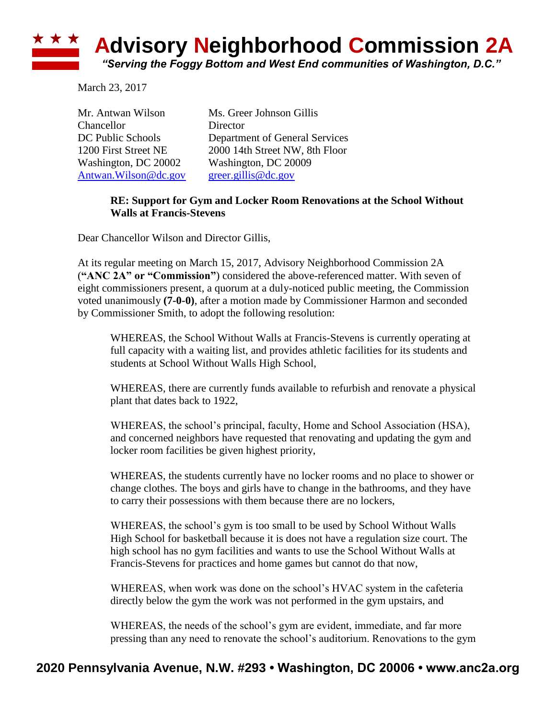## **Advisory Neighborhood Commission 2A**

*"Serving the Foggy Bottom and West End communities of Washington, D.C."*

March 23, 2017

★ ★ ★

| Mr. Antwan Wilson      | Ms. Greer Johnson Gillis       |
|------------------------|--------------------------------|
| Chancellor             | Director                       |
| DC Public Schools      | Department of General Services |
| 1200 First Street NE   | 2000 14th Street NW, 8th Floor |
| Washington, DC 20002   | Washington, DC 20009           |
| Antwan. Wilson @dc.gov | $green$ .gillis@dc.gov         |

## **RE: Support for Gym and Locker Room Renovations at the School Without Walls at Francis-Stevens**

Dear Chancellor Wilson and Director Gillis,

At its regular meeting on March 15, 2017, Advisory Neighborhood Commission 2A (**"ANC 2A" or "Commission"**) considered the above-referenced matter. With seven of eight commissioners present, a quorum at a duly-noticed public meeting, the Commission voted unanimously **(7-0-0)**, after a motion made by Commissioner Harmon and seconded by Commissioner Smith, to adopt the following resolution:

WHEREAS, the School Without Walls at Francis-Stevens is currently operating at full capacity with a waiting list, and provides athletic facilities for its students and students at School Without Walls High School,

WHEREAS, there are currently funds available to refurbish and renovate a physical plant that dates back to 1922,

WHEREAS, the school's principal, faculty, Home and School Association (HSA), and concerned neighbors have requested that renovating and updating the gym and locker room facilities be given highest priority,

WHEREAS, the students currently have no locker rooms and no place to shower or change clothes. The boys and girls have to change in the bathrooms, and they have to carry their possessions with them because there are no lockers,

WHEREAS, the school's gym is too small to be used by School Without Walls High School for basketball because it is does not have a regulation size court. The high school has no gym facilities and wants to use the School Without Walls at Francis-Stevens for practices and home games but cannot do that now,

WHEREAS, when work was done on the school's HVAC system in the cafeteria directly below the gym the work was not performed in the gym upstairs, and

WHEREAS, the needs of the school's gym are evident, immediate, and far more pressing than any need to renovate the school's auditorium. Renovations to the gym